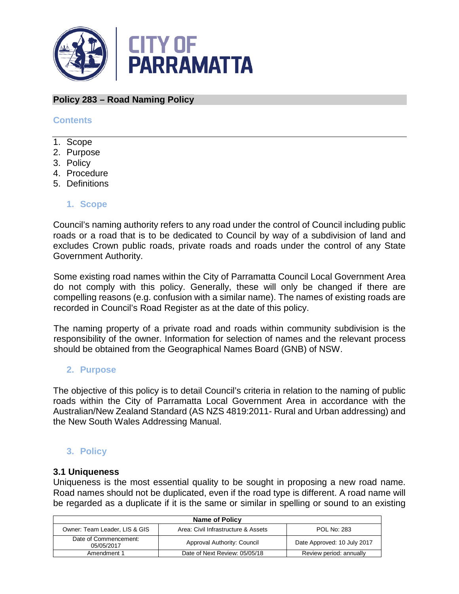

# **Policy 283 – Road Naming Policy**

### **Contents**

- 1. Scope
- 2. Purpose
- 3. Policy
- 4. Procedure
- 5. Definitions

### **1. Scope**

Council's naming authority refers to any road under the control of Council including public roads or a road that is to be dedicated to Council by way of a subdivision of land and excludes Crown public roads, private roads and roads under the control of any State Government Authority.

Some existing road names within the City of Parramatta Council Local Government Area do not comply with this policy. Generally, these will only be changed if there are compelling reasons (e.g. confusion with a similar name). The names of existing roads are recorded in Council's Road Register as at the date of this policy.

The naming property of a private road and roads within community subdivision is the responsibility of the owner. Information for selection of names and the relevant process should be obtained from the Geographical Names Board (GNB) of NSW.

#### **2. Purpose**

The objective of this policy is to detail Council's criteria in relation to the naming of public roads within the City of Parramatta Local Government Area in accordance with the Australian/New Zealand Standard (AS NZS 4819:2011- Rural and Urban addressing) and the New South Wales Addressing Manual.

# **3. Policy**

#### **3.1 Uniqueness**

Uniqueness is the most essential quality to be sought in proposing a new road name. Road names should not be duplicated, even if the road type is different. A road name will be regarded as a duplicate if it is the same or similar in spelling or sound to an existing

| Name of Policy                      |                                     |                             |
|-------------------------------------|-------------------------------------|-----------------------------|
| Owner: Team Leader, LIS & GIS       | Area: Civil Infrastructure & Assets | <b>POL No: 283</b>          |
| Date of Commencement:<br>05/05/2017 | Approval Authority: Council         | Date Approved: 10 July 2017 |
| Amendment 1                         | Date of Next Review: 05/05/18       | Review period: annually     |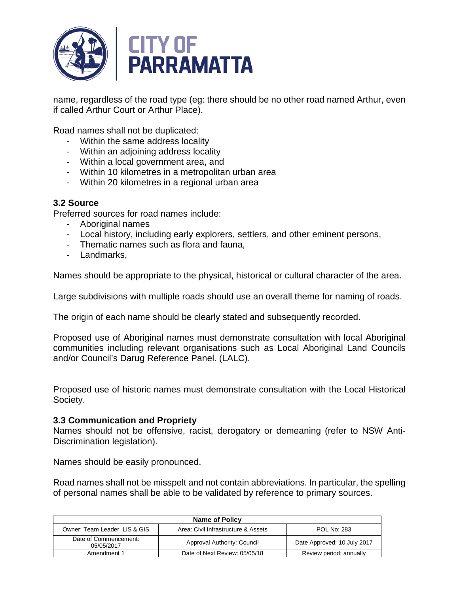

name, regardless of the road type (eg: there should be no other road named Arthur, even if called Arthur Court or Arthur Place).

Road names shall not be duplicated:

- Within the same address locality
- Within an adjoining address locality
- Within a local government area, and
- Within 10 kilometres in a metropolitan urban area
- Within 20 kilometres in a regional urban area

### **3.2 Source**

Preferred sources for road names include:

- Aboriginal names
- Local history, including early explorers, settlers, and other eminent persons,
- Thematic names such as flora and fauna,
- Landmarks,

Names should be appropriate to the physical, historical or cultural character of the area.

Large subdivisions with multiple roads should use an overall theme for naming of roads.

The origin of each name should be clearly stated and subsequently recorded.

Proposed use of Aboriginal names must demonstrate consultation with local Aboriginal communities including relevant organisations such as Local Aboriginal Land Councils and/or Council's Darug Reference Panel. (LALC).

Proposed use of historic names must demonstrate consultation with the Local Historical Society.

#### **3.3 Communication and Propriety**

Names should not be offensive, racist, derogatory or demeaning (refer to NSW Anti-Discrimination legislation).

Names should be easily pronounced.

Road names shall not be misspelt and not contain abbreviations. In particular, the spelling of personal names shall be able to be validated by reference to primary sources.

| Name of Policy                      |                                     |                             |  |
|-------------------------------------|-------------------------------------|-----------------------------|--|
| Owner: Team Leader, LIS & GIS       | Area: Civil Infrastructure & Assets | <b>POL No: 283</b>          |  |
| Date of Commencement:<br>05/05/2017 | Approval Authority: Council         | Date Approved: 10 July 2017 |  |
| Amendment 1                         | Date of Next Review: 05/05/18       | Review period: annually     |  |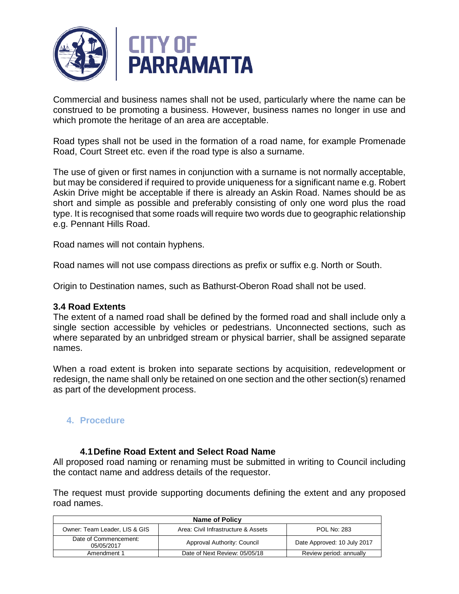

Commercial and business names shall not be used, particularly where the name can be construed to be promoting a business. However, business names no longer in use and which promote the heritage of an area are acceptable.

Road types shall not be used in the formation of a road name, for example Promenade Road, Court Street etc. even if the road type is also a surname.

The use of given or first names in conjunction with a surname is not normally acceptable, but may be considered if required to provide uniqueness for a significant name e.g. Robert Askin Drive might be acceptable if there is already an Askin Road. Names should be as short and simple as possible and preferably consisting of only one word plus the road type. It is recognised that some roads will require two words due to geographic relationship e.g. Pennant Hills Road.

Road names will not contain hyphens.

Road names will not use compass directions as prefix or suffix e.g. North or South.

Origin to Destination names, such as Bathurst-Oberon Road shall not be used.

#### **3.4 Road Extents**

The extent of a named road shall be defined by the formed road and shall include only a single section accessible by vehicles or pedestrians. Unconnected sections, such as where separated by an unbridged stream or physical barrier, shall be assigned separate names.

When a road extent is broken into separate sections by acquisition, redevelopment or redesign, the name shall only be retained on one section and the other section(s) renamed as part of the development process.

# **4. Procedure**

# **4.1Define Road Extent and Select Road Name**

All proposed road naming or renaming must be submitted in writing to Council including the contact name and address details of the requestor.

The request must provide supporting documents defining the extent and any proposed road names.

| Name of Policy                      |                                     |                             |  |
|-------------------------------------|-------------------------------------|-----------------------------|--|
| Owner: Team Leader, LIS & GIS       | Area: Civil Infrastructure & Assets | <b>POL No: 283</b>          |  |
| Date of Commencement:<br>05/05/2017 | Approval Authority: Council         | Date Approved: 10 July 2017 |  |
| Amendment 1                         | Date of Next Review: 05/05/18       | Review period: annually     |  |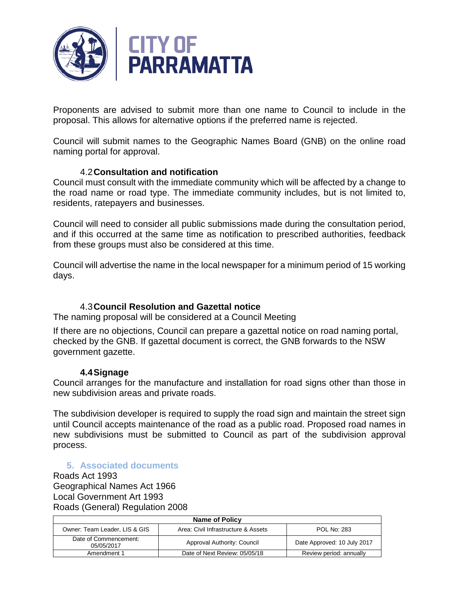

Proponents are advised to submit more than one name to Council to include in the proposal. This allows for alternative options if the preferred name is rejected.

Council will submit names to the Geographic Names Board (GNB) on the online road naming portal for approval.

# 4.2**Consultation and notification**

Council must consult with the immediate community which will be affected by a change to the road name or road type. The immediate community includes, but is not limited to, residents, ratepayers and businesses.

Council will need to consider all public submissions made during the consultation period, and if this occurred at the same time as notification to prescribed authorities, feedback from these groups must also be considered at this time.

Council will advertise the name in the local newspaper for a minimum period of 15 working days.

# 4.3**Council Resolution and Gazettal notice**

The naming proposal will be considered at a Council Meeting

If there are no objections, Council can prepare a gazettal notice on road naming portal, checked by the GNB. If gazettal document is correct, the GNB forwards to the NSW government gazette.

#### **4.4Signage**

Council arranges for the manufacture and installation for road signs other than those in new subdivision areas and private roads.

The subdivision developer is required to supply the road sign and maintain the street sign until Council accepts maintenance of the road as a public road. Proposed road names in new subdivisions must be submitted to Council as part of the subdivision approval process.

# **5. Associated documents**

Roads Act 1993 Geographical Names Act 1966 Local Government Art 1993 Roads (General) Regulation 2008

| Name of Policy                      |                                     |                             |
|-------------------------------------|-------------------------------------|-----------------------------|
| Owner: Team Leader, LIS & GIS       | Area: Civil Infrastructure & Assets | <b>POL No: 283</b>          |
| Date of Commencement:<br>05/05/2017 | Approval Authority: Council         | Date Approved: 10 July 2017 |
| Amendment 1                         | Date of Next Review: 05/05/18       | Review period: annually     |